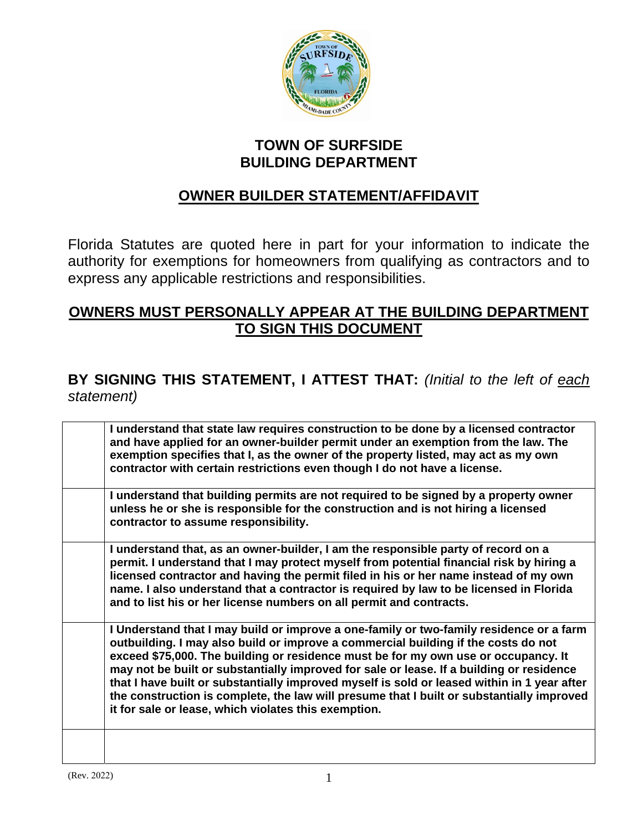

## **TOWN OF SURFSIDE BUILDING DEPARTMENT**

## **OWNER BUILDER STATEMENT/AFFIDAVIT**

Florida Statutes are quoted here in part for your information to indicate the authority for exemptions for homeowners from qualifying as contractors and to express any applicable restrictions and responsibilities.

## **OWNERS MUST PERSONALLY APPEAR AT THE BUILDING DEPARTMENT TO SIGN THIS DOCUMENT**

## **BY SIGNING THIS STATEMENT, I ATTEST THAT:** *(Initial to the left of each statement)*

| I understand that state law requires construction to be done by a licensed contractor<br>and have applied for an owner-builder permit under an exemption from the law. The<br>exemption specifies that I, as the owner of the property listed, may act as my own<br>contractor with certain restrictions even though I do not have a license.                                                                                                                                                                                                                                                                       |
|---------------------------------------------------------------------------------------------------------------------------------------------------------------------------------------------------------------------------------------------------------------------------------------------------------------------------------------------------------------------------------------------------------------------------------------------------------------------------------------------------------------------------------------------------------------------------------------------------------------------|
| I understand that building permits are not required to be signed by a property owner<br>unless he or she is responsible for the construction and is not hiring a licensed<br>contractor to assume responsibility.                                                                                                                                                                                                                                                                                                                                                                                                   |
| I understand that, as an owner-builder, I am the responsible party of record on a<br>permit. I understand that I may protect myself from potential financial risk by hiring a<br>licensed contractor and having the permit filed in his or her name instead of my own<br>name. I also understand that a contractor is required by law to be licensed in Florida<br>and to list his or her license numbers on all permit and contracts.                                                                                                                                                                              |
| I Understand that I may build or improve a one-family or two-family residence or a farm<br>outbuilding. I may also build or improve a commercial building if the costs do not<br>exceed \$75,000. The building or residence must be for my own use or occupancy. It<br>may not be built or substantially improved for sale or lease. If a building or residence<br>that I have built or substantially improved myself is sold or leased within in 1 year after<br>the construction is complete, the law will presume that I built or substantially improved<br>it for sale or lease, which violates this exemption. |
|                                                                                                                                                                                                                                                                                                                                                                                                                                                                                                                                                                                                                     |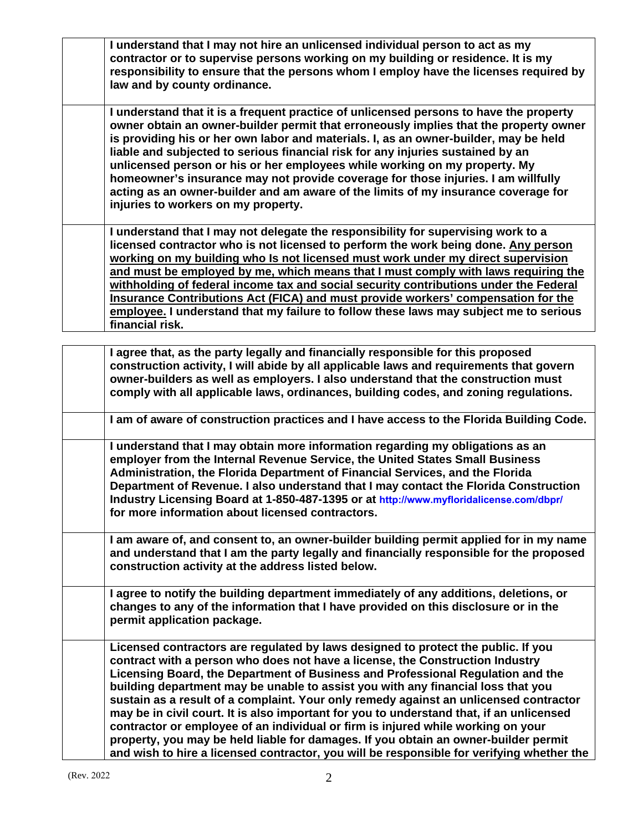**I understand that I may not hire an unlicensed individual person to act as my contractor or to supervise persons working on my building or residence. It is my responsibility to ensure that the persons whom I employ have the licenses required by law and by county ordinance.** 

**I understand that it is a frequent practice of unlicensed persons to have the property owner obtain an owner-builder permit that erroneously implies that the property owner is providing his or her own labor and materials. I, as an owner-builder, may be held liable and subjected to serious financial risk for any injuries sustained by an unlicensed person or his or her employees while working on my property. My homeowner's insurance may not provide coverage for those injuries. I am willfully acting as an owner-builder and am aware of the limits of my insurance coverage for injuries to workers on my property.** 

**I understand that I may not delegate the responsibility for supervising work to a licensed contractor who is not licensed to perform the work being done. Any person working on my building who Is not licensed must work under my direct supervision and must be employed by me, which means that I must comply with laws requiring the withholding of federal income tax and social security contributions under the Federal Insurance Contributions Act (FICA) and must provide workers' compensation for the employee. I understand that my failure to follow these laws may subject me to serious financial risk.** 

| I agree that, as the party legally and financially responsible for this proposed<br>construction activity, I will abide by all applicable laws and requirements that govern<br>owner-builders as well as employers. I also understand that the construction must<br>comply with all applicable laws, ordinances, building codes, and zoning regulations.                                                                                                                                                                                                                                                                                                                                                                                                                                               |
|--------------------------------------------------------------------------------------------------------------------------------------------------------------------------------------------------------------------------------------------------------------------------------------------------------------------------------------------------------------------------------------------------------------------------------------------------------------------------------------------------------------------------------------------------------------------------------------------------------------------------------------------------------------------------------------------------------------------------------------------------------------------------------------------------------|
| I am of aware of construction practices and I have access to the Florida Building Code.                                                                                                                                                                                                                                                                                                                                                                                                                                                                                                                                                                                                                                                                                                                |
| I understand that I may obtain more information regarding my obligations as an<br>employer from the Internal Revenue Service, the United States Small Business<br>Administration, the Florida Department of Financial Services, and the Florida<br>Department of Revenue. I also understand that I may contact the Florida Construction<br>Industry Licensing Board at 1-850-487-1395 or at http://www.myfloridalicense.com/dbpr/<br>for more information about licensed contractors.                                                                                                                                                                                                                                                                                                                  |
| I am aware of, and consent to, an owner-builder building permit applied for in my name<br>and understand that I am the party legally and financially responsible for the proposed<br>construction activity at the address listed below.                                                                                                                                                                                                                                                                                                                                                                                                                                                                                                                                                                |
| I agree to notify the building department immediately of any additions, deletions, or<br>changes to any of the information that I have provided on this disclosure or in the<br>permit application package.                                                                                                                                                                                                                                                                                                                                                                                                                                                                                                                                                                                            |
| Licensed contractors are regulated by laws designed to protect the public. If you<br>contract with a person who does not have a license, the Construction Industry<br>Licensing Board, the Department of Business and Professional Regulation and the<br>building department may be unable to assist you with any financial loss that you<br>sustain as a result of a complaint. Your only remedy against an unlicensed contractor<br>may be in civil court. It is also important for you to understand that, if an unlicensed<br>contractor or employee of an individual or firm is injured while working on your<br>property, you may be held liable for damages. If you obtain an owner-builder permit<br>and wish to hire a licensed contractor, you will be responsible for verifying whether the |